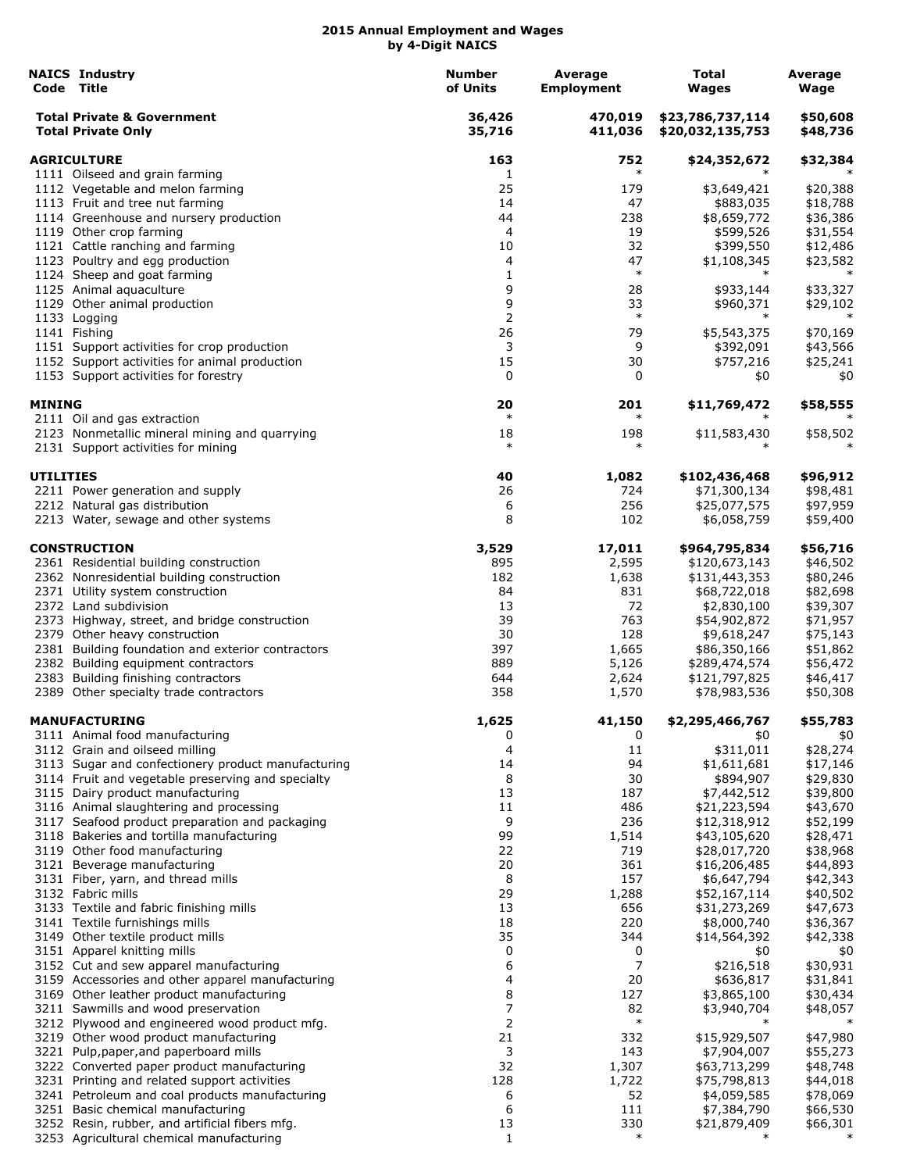|                    | <b>NAICS Industry</b><br>Code Title                                                          | <b>Number</b><br>of Units | Average<br><b>Employment</b> | Total<br>Wages                       | Average<br>Wage      |
|--------------------|----------------------------------------------------------------------------------------------|---------------------------|------------------------------|--------------------------------------|----------------------|
|                    | <b>Total Private &amp; Government</b><br><b>Total Private Only</b>                           | 36,426<br>35,716          | 470,019<br>411,036           | \$23,786,737,114<br>\$20,032,135,753 | \$50,608<br>\$48,736 |
| <b>AGRICULTURE</b> |                                                                                              | 163                       | 752                          | \$24,352,672                         | \$32,384             |
|                    | 1111 Oilseed and grain farming                                                               | 1                         | $\ast$                       |                                      |                      |
|                    | 1112 Vegetable and melon farming                                                             | 25                        | 179                          | \$3,649,421                          | \$20,388             |
|                    | 1113 Fruit and tree nut farming                                                              | 14                        | 47                           | \$883,035                            | \$18,788             |
|                    | 1114 Greenhouse and nursery production<br>1119 Other crop farming                            | 44<br>4                   | 238<br>19                    | \$8,659,772<br>\$599,526             | \$36,386<br>\$31,554 |
|                    | 1121 Cattle ranching and farming                                                             | 10                        | 32                           | \$399,550                            | \$12,486             |
|                    | 1123 Poultry and egg production                                                              | 4                         | 47                           | \$1,108,345                          | \$23,582             |
|                    | 1124 Sheep and goat farming                                                                  | 1                         | $\ast$                       | $\ast$                               | $\ast$               |
|                    | 1125 Animal aquaculture                                                                      | 9                         | 28                           | \$933,144                            | \$33,327             |
|                    | 1129 Other animal production                                                                 | 9                         | 33                           | \$960,371                            | \$29,102             |
|                    | 1133 Logging                                                                                 | 2                         | $\ast$                       | $\ast$                               | $\ast$               |
|                    | 1141 Fishing                                                                                 | 26                        | 79                           | \$5,543,375                          | \$70,169             |
|                    | 1151 Support activities for crop production                                                  | 3                         | 9                            | \$392,091                            | \$43,566             |
|                    | 1152 Support activities for animal production<br>1153 Support activities for forestry        | 15<br>0                   | 30<br>0                      | \$757,216<br>\$0                     | \$25,241<br>\$0      |
| <b>MINING</b>      |                                                                                              | 20                        | 201                          | \$11,769,472                         | \$58,555             |
|                    | 2111 Oil and gas extraction                                                                  | $\ast$                    | $\ast$                       |                                      | $\ast$               |
|                    | 2123 Nonmetallic mineral mining and quarrying<br>2131 Support activities for mining          | 18<br>$\ast$              | 198<br>$\ast$                | \$11,583,430                         | \$58,502             |
| <b>UTILITIES</b>   |                                                                                              | 40                        | 1,082                        | \$102,436,468                        | \$96,912             |
|                    | 2211 Power generation and supply                                                             | 26                        | 724                          | \$71,300,134                         | \$98,481             |
|                    | 2212 Natural gas distribution                                                                | 6<br>8                    | 256                          | \$25,077,575                         | \$97,959             |
|                    | 2213 Water, sewage and other systems                                                         |                           | 102                          | \$6,058,759                          | \$59,400             |
|                    | <b>CONSTRUCTION</b>                                                                          | 3,529                     | 17,011                       | \$964,795,834                        | \$56,716             |
|                    | 2361 Residential building construction                                                       | 895                       | 2,595                        | \$120,673,143                        | \$46,502             |
|                    | 2362 Nonresidential building construction<br>2371 Utility system construction                | 182<br>84                 | 1,638<br>831                 | \$131,443,353<br>\$68,722,018        | \$80,246<br>\$82,698 |
|                    | 2372 Land subdivision                                                                        | 13                        | 72                           | \$2,830,100                          | \$39,307             |
|                    | 2373 Highway, street, and bridge construction                                                | 39                        | 763                          | \$54,902,872                         | \$71,957             |
|                    | 2379 Other heavy construction                                                                | 30                        | 128                          | \$9,618,247                          | \$75,143             |
|                    | 2381 Building foundation and exterior contractors                                            | 397                       | 1,665                        | \$86,350,166                         | \$51,862             |
|                    | 2382 Building equipment contractors                                                          | 889                       | 5,126                        | \$289,474,574                        | \$56,472             |
|                    | 2383 Building finishing contractors                                                          | 644                       | 2,624                        | \$121,797,825                        | \$46,417             |
|                    | 2389 Other specialty trade contractors                                                       | 358                       | 1,570                        | \$78,983,536                         | \$50,308             |
|                    | <b>MANUFACTURING</b><br>3111 Animal food manufacturing                                       | 1,625<br>0                | 41,150<br>0                  | \$2,295,466,767<br>\$0               | \$55,783<br>\$0      |
|                    | 3112 Grain and oilseed milling                                                               | 4                         | 11                           | \$311,011                            | \$28,274             |
|                    | 3113 Sugar and confectionery product manufacturing                                           | 14                        | 94                           | \$1,611,681                          | \$17,146             |
|                    | 3114 Fruit and vegetable preserving and specialty                                            | 8                         | 30                           | \$894,907                            | \$29,830             |
|                    | 3115 Dairy product manufacturing                                                             | 13                        | 187                          | \$7,442,512                          | \$39,800             |
|                    | 3116 Animal slaughtering and processing                                                      | 11                        | 486                          | \$21,223,594                         | \$43,670             |
|                    | 3117 Seafood product preparation and packaging                                               | 9                         | 236                          | \$12,318,912                         | \$52,199             |
|                    | 3118 Bakeries and tortilla manufacturing                                                     | 99<br>22                  | 1,514<br>719                 | \$43,105,620                         | \$28,471             |
|                    | 3119 Other food manufacturing<br>3121 Beverage manufacturing                                 | 20                        | 361                          | \$28,017,720<br>\$16,206,485         | \$38,968<br>\$44,893 |
|                    | 3131 Fiber, yarn, and thread mills                                                           | 8                         | 157                          | \$6,647,794                          | \$42,343             |
|                    | 3132 Fabric mills                                                                            | 29                        | 1,288                        | \$52,167,114                         | \$40,502             |
|                    | 3133 Textile and fabric finishing mills                                                      | 13                        | 656                          | \$31,273,269                         | \$47,673             |
|                    | 3141 Textile furnishings mills                                                               | 18                        | 220                          | \$8,000,740                          | \$36,367             |
|                    | 3149 Other textile product mills                                                             | 35                        | 344                          | \$14,564,392                         | \$42,338             |
|                    | 3151 Apparel knitting mills                                                                  | 0                         | 0                            | \$0                                  | \$0                  |
|                    | 3152 Cut and sew apparel manufacturing                                                       | 6<br>4                    | 7<br>20                      | \$216,518                            | \$30,931             |
|                    | 3159 Accessories and other apparel manufacturing<br>3169 Other leather product manufacturing | 8                         | 127                          | \$636,817<br>\$3,865,100             | \$31,841<br>\$30,434 |
|                    | 3211 Sawmills and wood preservation                                                          | 7                         | 82                           | \$3,940,704                          | \$48,057             |
|                    | 3212 Plywood and engineered wood product mfg.                                                | 2                         | $\ast$                       | $\ast$                               |                      |
|                    | 3219 Other wood product manufacturing                                                        | 21                        | 332                          | \$15,929,507                         | \$47,980             |
|                    | 3221 Pulp, paper, and paperboard mills                                                       | 3                         | 143                          | \$7,904,007                          | \$55,273             |
|                    | 3222 Converted paper product manufacturing                                                   | 32                        | 1,307                        | \$63,713,299                         | \$48,748             |
|                    | 3231 Printing and related support activities                                                 | 128                       | 1,722                        | \$75,798,813                         | \$44,018             |
|                    | 3241 Petroleum and coal products manufacturing                                               | 6                         | 52                           | \$4,059,585                          | \$78,069             |
|                    | 3251 Basic chemical manufacturing<br>3252 Resin, rubber, and artificial fibers mfg.          | 6<br>13                   | 111<br>330                   | \$7,384,790<br>\$21,879,409          | \$66,530<br>\$66,301 |
|                    | 3253 Agricultural chemical manufacturing                                                     | $\mathbf{1}$              | $\ast$                       | $\ast$                               |                      |
|                    |                                                                                              |                           |                              |                                      |                      |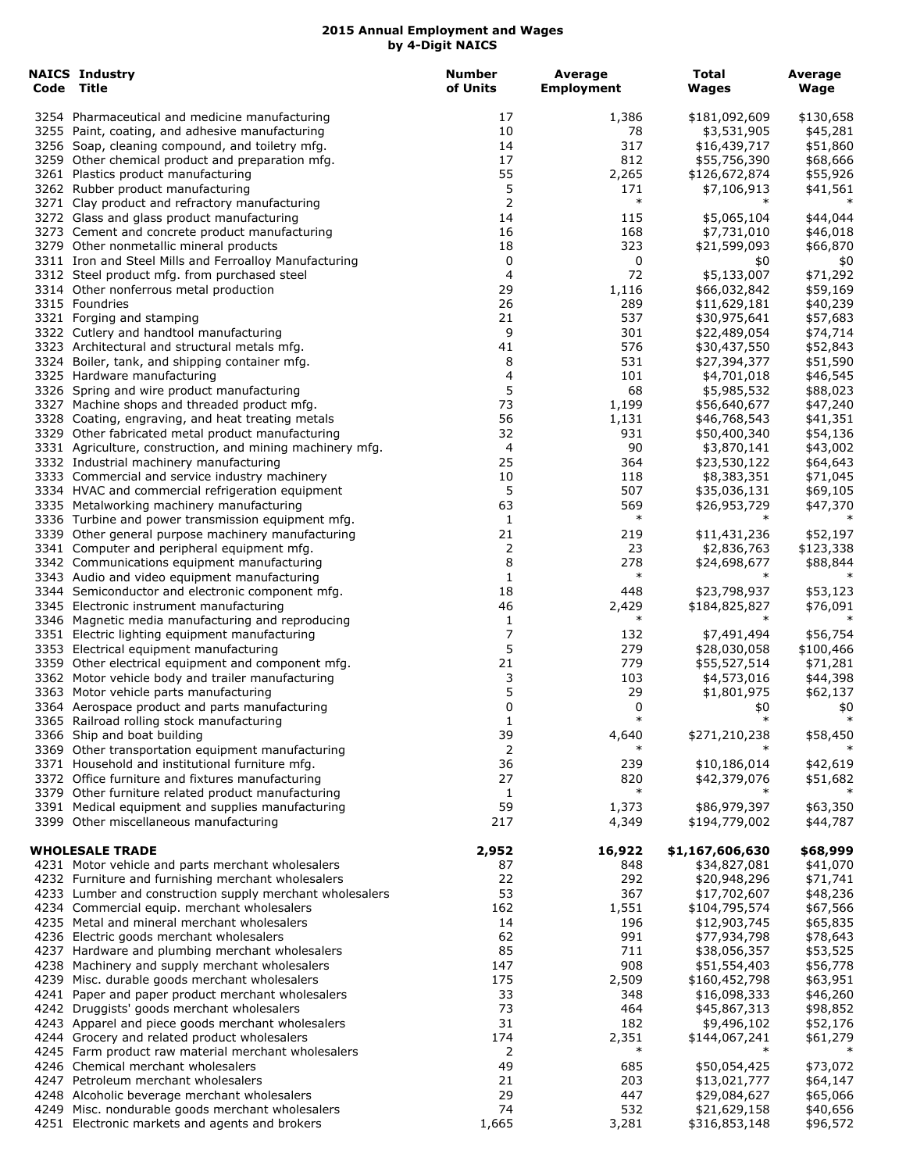| Code Title | <b>NAICS Industry</b>                                                                                          | <b>Number</b><br>of Units | Average<br><b>Employment</b> | <b>Total</b><br>Wages         | Average<br>Wage       |
|------------|----------------------------------------------------------------------------------------------------------------|---------------------------|------------------------------|-------------------------------|-----------------------|
|            | 3254 Pharmaceutical and medicine manufacturing                                                                 | 17                        | 1,386                        | \$181,092,609                 | \$130,658             |
|            | 3255 Paint, coating, and adhesive manufacturing                                                                | 10                        | 78                           | \$3,531,905                   | \$45,281              |
|            | 3256 Soap, cleaning compound, and toiletry mfg.                                                                | 14                        | 317                          | \$16,439,717                  | \$51,860              |
|            | 3259 Other chemical product and preparation mfg.                                                               | 17                        | 812                          | \$55,756,390                  | \$68,666              |
|            | 3261 Plastics product manufacturing                                                                            | 55                        | 2,265                        | \$126,672,874                 | \$55,926              |
|            | 3262 Rubber product manufacturing                                                                              | 5                         | 171                          | \$7,106,913                   | \$41,561              |
|            | 3271 Clay product and refractory manufacturing                                                                 | 2                         | $\ast$                       |                               |                       |
|            | 3272 Glass and glass product manufacturing                                                                     | 14<br>16                  | 115<br>168                   | \$5,065,104<br>\$7,731,010    | \$44,044              |
|            | 3273 Cement and concrete product manufacturing<br>3279 Other nonmetallic mineral products                      | 18                        | 323                          | \$21,599,093                  | \$46,018<br>\$66,870  |
|            | 3311 Iron and Steel Mills and Ferroalloy Manufacturing                                                         | 0                         | 0                            | \$0                           | \$0                   |
|            | 3312 Steel product mfg. from purchased steel                                                                   | 4                         | 72                           | \$5,133,007                   | \$71,292              |
|            | 3314 Other nonferrous metal production                                                                         | 29                        | 1,116                        | \$66,032,842                  | \$59,169              |
|            | 3315 Foundries                                                                                                 | 26                        | 289                          | \$11,629,181                  | \$40,239              |
|            | 3321 Forging and stamping                                                                                      | 21                        | 537                          | \$30,975,641                  | \$57,683              |
|            | 3322 Cutlery and handtool manufacturing                                                                        | 9                         | 301                          | \$22,489,054                  | \$74,714              |
|            | 3323 Architectural and structural metals mfg.                                                                  | 41                        | 576                          | \$30,437,550                  | \$52,843              |
|            | 3324 Boiler, tank, and shipping container mfg.                                                                 | 8                         | 531                          | \$27,394,377                  | \$51,590              |
|            | 3325 Hardware manufacturing                                                                                    | 4                         | 101                          | \$4,701,018                   | \$46,545              |
|            | 3326 Spring and wire product manufacturing                                                                     | 5                         | 68                           | \$5,985,532                   | \$88,023              |
|            | 3327 Machine shops and threaded product mfg.                                                                   | 73                        | 1,199                        | \$56,640,677                  | \$47,240              |
|            | 3328 Coating, engraving, and heat treating metals                                                              | 56                        | 1,131                        | \$46,768,543<br>\$50,400,340  | \$41,351              |
|            | 3329 Other fabricated metal product manufacturing<br>3331 Agriculture, construction, and mining machinery mfg. | 32<br>4                   | 931<br>90                    | \$3,870,141                   | \$54,136<br>\$43,002  |
|            | 3332 Industrial machinery manufacturing                                                                        | 25                        | 364                          | \$23,530,122                  | \$64,643              |
|            | 3333 Commercial and service industry machinery                                                                 | 10                        | 118                          | \$8,383,351                   | \$71,045              |
|            | 3334 HVAC and commercial refrigeration equipment                                                               | 5                         | 507                          | \$35,036,131                  | \$69,105              |
|            | 3335 Metalworking machinery manufacturing                                                                      | 63                        | 569                          | \$26,953,729                  | \$47,370              |
|            | 3336 Turbine and power transmission equipment mfg.                                                             | 1                         | $\ast$                       | $\ast$                        |                       |
|            | 3339 Other general purpose machinery manufacturing                                                             | 21                        | 219                          | \$11,431,236                  | \$52,197              |
|            | 3341 Computer and peripheral equipment mfg.                                                                    | 2                         | 23                           | \$2,836,763                   | \$123,338             |
|            | 3342 Communications equipment manufacturing                                                                    | 8                         | 278                          | \$24,698,677                  | \$88,844              |
|            | 3343 Audio and video equipment manufacturing                                                                   | 1                         | $\ast$                       | $\ast$                        | $\ast$                |
|            | 3344 Semiconductor and electronic component mfg.                                                               | 18                        | 448                          | \$23,798,937                  | \$53,123              |
|            | 3345 Electronic instrument manufacturing                                                                       | 46                        | 2,429<br>$\ast$              | \$184,825,827<br>$\ast$       | \$76,091              |
|            | 3346 Magnetic media manufacturing and reproducing                                                              | 1                         |                              |                               |                       |
|            | 3351 Electric lighting equipment manufacturing<br>3353 Electrical equipment manufacturing                      | 7<br>5                    | 132<br>279                   | \$7,491,494<br>\$28,030,058   | \$56,754<br>\$100,466 |
|            | 3359 Other electrical equipment and component mfg.                                                             | 21                        | 779                          | \$55,527,514                  | \$71,281              |
|            | 3362 Motor vehicle body and trailer manufacturing                                                              | 3                         | 103                          | \$4,573,016                   | \$44,398              |
|            | 3363 Motor vehicle parts manufacturing                                                                         | 5                         | 29                           | \$1,801,975                   | \$62,137              |
|            | 3364 Aerospace product and parts manufacturing                                                                 | 0                         | 0                            | \$0                           | \$0                   |
|            | 3365 Railroad rolling stock manufacturing                                                                      | $\mathbf{1}$              | $\ast$                       | $\ast$                        | $\ast$                |
|            | 3366 Ship and boat building                                                                                    | 39                        | 4,640                        | \$271,210,238                 | \$58,450              |
|            | 3369 Other transportation equipment manufacturing                                                              | 2                         | $\ast$                       |                               |                       |
|            | 3371 Household and institutional furniture mfg.                                                                | 36                        | 239                          | \$10,186,014                  | \$42,619              |
|            | 3372 Office furniture and fixtures manufacturing                                                               | 27                        | 820                          | \$42,379,076                  | \$51,682              |
|            | 3379 Other furniture related product manufacturing                                                             | 1                         | $\ast$                       |                               |                       |
|            | 3391 Medical equipment and supplies manufacturing<br>3399 Other miscellaneous manufacturing                    | 59<br>217                 | 1,373<br>4,349               | \$86,979,397<br>\$194,779,002 | \$63,350<br>\$44,787  |
|            |                                                                                                                |                           |                              |                               |                       |
|            | <b>WHOLESALE TRADE</b>                                                                                         | 2,952                     | 16,922                       | \$1,167,606,630               | \$68,999              |
|            | 4231 Motor vehicle and parts merchant wholesalers                                                              | 87                        | 848                          | \$34,827,081                  | \$41,070              |
|            | 4232 Furniture and furnishing merchant wholesalers                                                             | 22                        | 292                          | \$20,948,296                  | \$71,741              |
|            | 4233 Lumber and construction supply merchant wholesalers                                                       | 53                        | 367                          | \$17,702,607                  | \$48,236              |
|            | 4234 Commercial equip. merchant wholesalers                                                                    | 162                       | 1,551                        | \$104,795,574                 | \$67,566              |
|            | 4235 Metal and mineral merchant wholesalers                                                                    | 14                        | 196                          | \$12,903,745                  | \$65,835              |
|            | 4236 Electric goods merchant wholesalers                                                                       | 62                        | 991                          | \$77,934,798                  | \$78,643              |
|            | 4237 Hardware and plumbing merchant wholesalers                                                                | 85                        | 711                          | \$38,056,357                  | \$53,525              |
|            | 4238 Machinery and supply merchant wholesalers                                                                 | 147                       | 908                          | \$51,554,403                  | \$56,778              |
|            | 4239 Misc. durable goods merchant wholesalers                                                                  | 175                       | 2,509                        | \$160,452,798                 | \$63,951              |
|            | 4241 Paper and paper product merchant wholesalers<br>4242 Druggists' goods merchant wholesalers                | 33<br>73                  | 348<br>464                   | \$16,098,333                  | \$46,260              |
|            | 4243 Apparel and piece goods merchant wholesalers                                                              | 31                        | 182                          | \$45,867,313<br>\$9,496,102   | \$98,852<br>\$52,176  |
|            | 4244 Grocery and related product wholesalers                                                                   | 174                       | 2,351                        | \$144,067,241                 | \$61,279              |
|            | 4245 Farm product raw material merchant wholesalers                                                            | 2                         | $\ast$                       | $\ast$                        | $\ast$                |
|            | 4246 Chemical merchant wholesalers                                                                             | 49                        | 685                          | \$50,054,425                  | \$73,072              |
|            | 4247 Petroleum merchant wholesalers                                                                            | 21                        | 203                          | \$13,021,777                  | \$64,147              |
|            | 4248 Alcoholic beverage merchant wholesalers                                                                   | 29                        | 447                          | \$29,084,627                  | \$65,066              |
|            | 4249 Misc. nondurable goods merchant wholesalers                                                               | 74                        | 532                          | \$21,629,158                  | \$40,656              |
|            | 4251 Electronic markets and agents and brokers                                                                 | 1,665                     | 3,281                        | \$316,853,148                 | \$96,572              |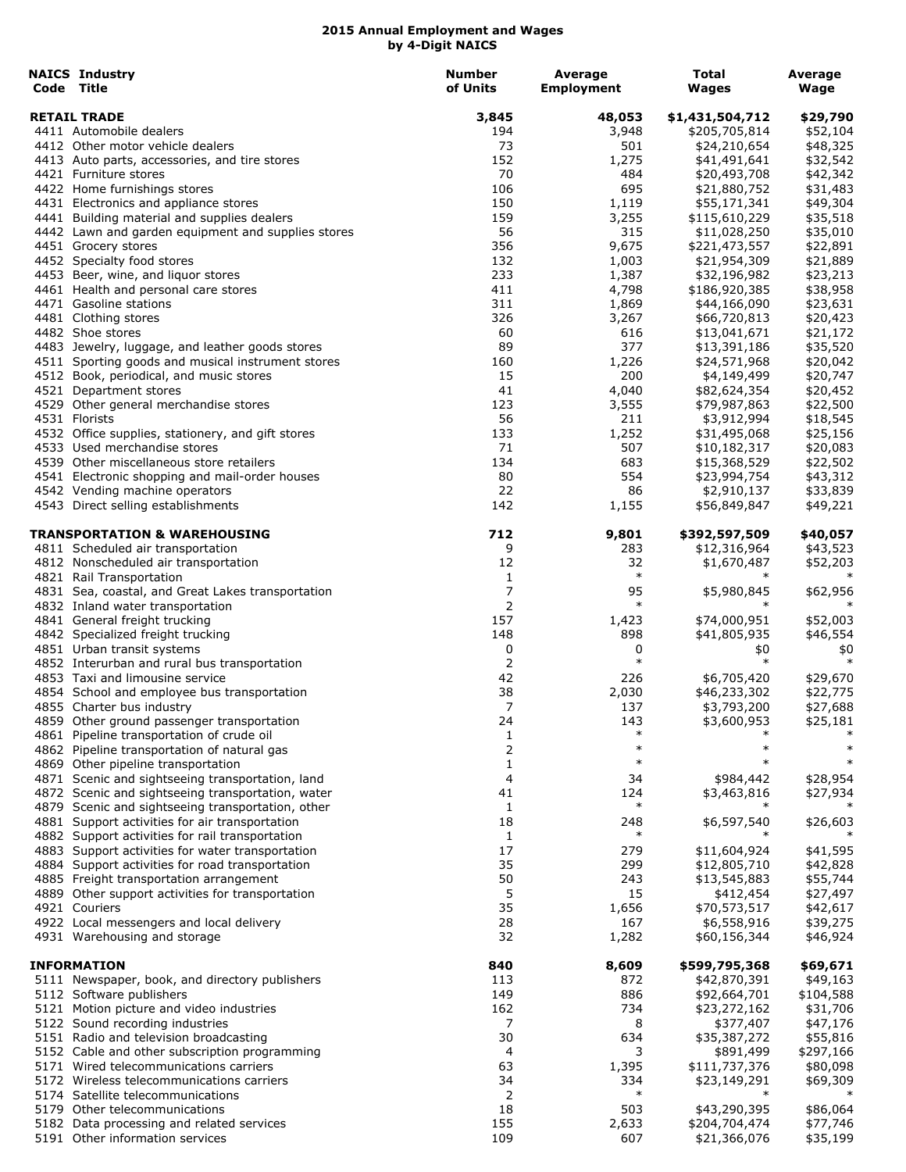| <b>NAICS Industry</b><br>Code Title                | <b>Number</b><br>of Units | Average<br><b>Employment</b> | Total<br><b>Wages</b> | Average<br>Wage |
|----------------------------------------------------|---------------------------|------------------------------|-----------------------|-----------------|
| <b>RETAIL TRADE</b>                                | 3,845                     | 48,053                       | \$1,431,504,712       | \$29,790        |
| 4411 Automobile dealers                            | 194                       | 3,948                        | \$205,705,814         | \$52,104        |
| 4412 Other motor vehicle dealers                   | 73                        | 501                          | \$24,210,654          | \$48,325        |
| 4413 Auto parts, accessories, and tire stores      | 152                       | 1,275                        | \$41,491,641          | \$32,542        |
| 4421 Furniture stores                              | 70                        | 484                          | \$20,493,708          | \$42,342        |
| 4422 Home furnishings stores                       | 106                       | 695                          | \$21,880,752          | \$31,483        |
| 4431 Electronics and appliance stores              | 150                       | 1,119                        | \$55,171,341          | \$49,304        |
| 4441 Building material and supplies dealers        | 159                       | 3,255                        | \$115,610,229         | \$35,518        |
| 4442 Lawn and garden equipment and supplies stores | 56                        | 315                          | \$11,028,250          | \$35,010        |
| 4451 Grocery stores                                | 356                       | 9,675                        | \$221,473,557         | \$22,891        |
| 4452 Specialty food stores                         | 132                       | 1,003                        | \$21,954,309          | \$21,889        |
| 4453 Beer, wine, and liquor stores                 | 233                       | 1,387                        | \$32,196,982          | \$23,213        |
| 4461 Health and personal care stores               | 411                       | 4,798                        | \$186,920,385         | \$38,958        |
| 4471 Gasoline stations                             | 311                       | 1,869                        | \$44,166,090          | \$23,631        |
| 4481 Clothing stores                               | 326                       | 3,267                        | \$66,720,813          | \$20,423        |
| 4482 Shoe stores                                   | 60                        | 616                          | \$13,041,671          | \$21,172        |
| 4483 Jewelry, luggage, and leather goods stores    | 89                        | 377                          | \$13,391,186          | \$35,520        |
| 4511 Sporting goods and musical instrument stores  | 160                       | 1,226                        | \$24,571,968          | \$20,042        |
| 4512 Book, periodical, and music stores            | 15                        | 200                          | \$4,149,499           | \$20,747        |
| 4521 Department stores                             | 41                        | 4,040                        | \$82,624,354          | \$20,452        |
| 4529 Other general merchandise stores              | 123                       | 3,555                        | \$79,987,863          | \$22,500        |
| 4531 Florists                                      | 56                        | 211                          | \$3,912,994           | \$18,545        |
| 4532 Office supplies, stationery, and gift stores  | 133                       | 1,252                        | \$31,495,068          | \$25,156        |
| 4533 Used merchandise stores                       | 71                        | 507                          | \$10,182,317          | \$20,083        |
| 4539 Other miscellaneous store retailers           | 134                       | 683                          | \$15,368,529          | \$22,502        |
| 4541 Electronic shopping and mail-order houses     | 80                        | 554                          | \$23,994,754          | \$43,312        |
| 4542 Vending machine operators                     | 22                        | 86                           | \$2,910,137           | \$33,839        |
| 4543 Direct selling establishments                 | 142                       | 1,155                        | \$56,849,847          | \$49,221        |
| TRANSPORTATION & WAREHOUSING                       | 712                       | 9,801                        | \$392,597,509         | \$40,057        |
| 4811 Scheduled air transportation                  | 9                         | 283                          | \$12,316,964          | \$43,523        |
| 4812 Nonscheduled air transportation               | 12                        | 32                           | \$1,670,487           | \$52,203        |
| 4821 Rail Transportation                           | 1                         | $\ast$                       | $\ast$                |                 |
| 4831 Sea, coastal, and Great Lakes transportation  | 7                         | 95                           | \$5,980,845           | \$62,956        |
| 4832 Inland water transportation                   | 2                         | $\ast$                       |                       |                 |
| 4841 General freight trucking                      | 157                       | 1,423                        | \$74,000,951          | \$52,003        |
| 4842 Specialized freight trucking                  | 148                       | 898                          | \$41,805,935          | \$46,554        |
| 4851 Urban transit systems                         | 0                         | 0                            | \$0                   | \$0             |
| 4852 Interurban and rural bus transportation       | 2                         | $\ast$                       | $\ast$                | $\ast$          |
| 4853 Taxi and limousine service                    | 42                        | 226                          | \$6,705,420           | \$29,670        |
| 4854 School and employee bus transportation        | 38                        | 2,030                        | \$46,233,302          | \$22,775        |
| 4855 Charter bus industry                          | 7                         | 137                          | \$3,793,200           | \$27,688        |
| 4859 Other ground passenger transportation         | 24                        | 143                          | \$3,600,953           | \$25,181        |
| 4861 Pipeline transportation of crude oil          | 1                         | $\ast$                       | $\ast$                |                 |
| 4862 Pipeline transportation of natural gas        | 2                         | $\ast$                       | $\ast$                | $\ast$          |
| 4869 Other pipeline transportation                 | 1                         | $\ast$                       |                       |                 |
| 4871 Scenic and sightseeing transportation, land   | 4                         | 34                           | \$984,442             | \$28,954        |
| 4872 Scenic and sightseeing transportation, water  | 41                        | 124                          | \$3,463,816           | \$27,934        |
| 4879 Scenic and sightseeing transportation, other  | 1                         | $\ast$                       | $\ast$                |                 |
| 4881 Support activities for air transportation     | 18                        | 248                          | \$6,597,540           | \$26,603        |
| 4882 Support activities for rail transportation    | 1                         | $\ast$                       |                       |                 |
| 4883 Support activities for water transportation   | 17                        | 279                          | \$11,604,924          | \$41,595        |
| 4884 Support activities for road transportation    | 35                        | 299                          | \$12,805,710          | \$42,828        |
| 4885 Freight transportation arrangement            | 50                        | 243                          | \$13,545,883          | \$55,744        |
| 4889 Other support activities for transportation   | 5                         | 15                           | \$412,454             | \$27,497        |
| 4921 Couriers                                      | 35                        | 1,656                        | \$70,573,517          | \$42,617        |
| 4922 Local messengers and local delivery           | 28                        | 167                          | \$6,558,916           | \$39,275        |
| 4931 Warehousing and storage                       | 32                        | 1,282                        | \$60,156,344          | \$46,924        |
| <b>INFORMATION</b>                                 | 840                       | 8,609                        | \$599,795,368         | \$69,671        |
| 5111 Newspaper, book, and directory publishers     | 113                       | 872                          | \$42,870,391          | \$49,163        |
| 5112 Software publishers                           | 149                       | 886                          | \$92,664,701          | \$104,588       |
| 5121 Motion picture and video industries           | 162                       | 734                          | \$23,272,162          | \$31,706        |
| 5122 Sound recording industries                    | 7                         | 8                            | \$377,407             | \$47,176        |
| 5151 Radio and television broadcasting             | 30                        | 634                          | \$35,387,272          | \$55,816        |
| 5152 Cable and other subscription programming      | 4                         | 3                            | \$891,499             | \$297,166       |
| 5171 Wired telecommunications carriers             | 63                        | 1,395                        | \$111,737,376         | \$80,098        |
| 5172 Wireless telecommunications carriers          | 34                        | 334                          | \$23,149,291          | \$69,309        |
| 5174 Satellite telecommunications                  | 2                         | $\ast$                       |                       |                 |
| 5179 Other telecommunications                      | 18                        | 503                          | \$43,290,395          | \$86,064        |
| 5182 Data processing and related services          | 155                       | 2,633                        | \$204,704,474         | \$77,746        |
| 5191 Other information services                    | 109                       | 607                          | \$21,366,076          | \$35,199        |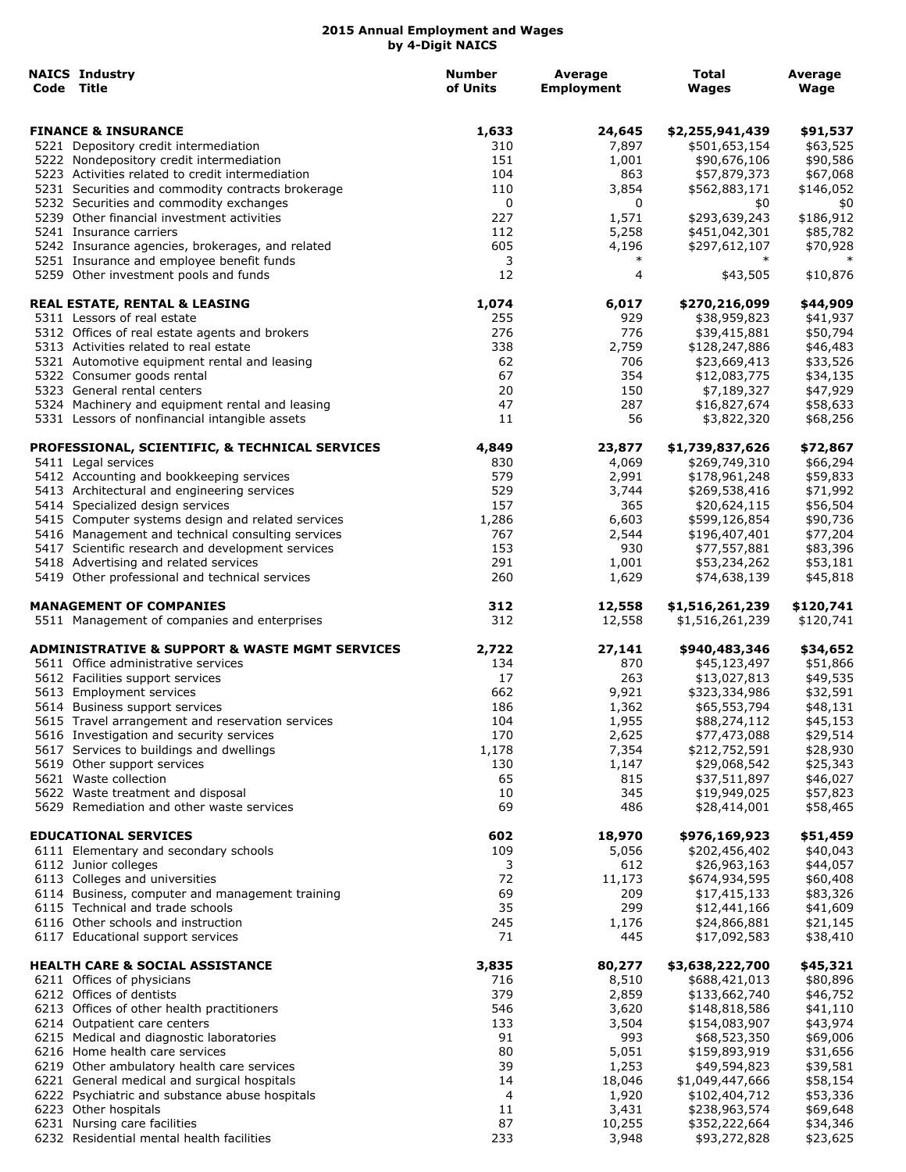| <b>NAICS Industry</b><br>Code Title                                                   | <b>Number</b><br>of Units | Average<br><b>Employment</b> | Total<br>Wages                | Average<br>Wage      |
|---------------------------------------------------------------------------------------|---------------------------|------------------------------|-------------------------------|----------------------|
| <b>FINANCE &amp; INSURANCE</b>                                                        | 1,633                     | 24,645                       | \$2,255,941,439               | \$91,537             |
| 5221 Depository credit intermediation                                                 | 310                       | 7,897                        | \$501,653,154                 | \$63,525             |
| 5222 Nondepository credit intermediation                                              | 151                       | 1,001                        | \$90,676,106                  | \$90,586             |
| 5223 Activities related to credit intermediation                                      | 104                       | 863                          | \$57,879,373                  | \$67,068             |
| 5231 Securities and commodity contracts brokerage                                     | 110                       | 3,854                        | \$562,883,171                 | \$146,052            |
| 5232 Securities and commodity exchanges                                               | 0                         | 0                            | \$0                           | \$0                  |
| 5239 Other financial investment activities                                            | 227                       | 1,571                        | \$293,639,243                 | \$186,912            |
| 5241 Insurance carriers                                                               | 112                       | 5,258                        | \$451,042,301                 | \$85,782             |
| 5242 Insurance agencies, brokerages, and related                                      | 605                       | 4,196                        | \$297,612,107                 | \$70,928             |
| 5251 Insurance and employee benefit funds<br>5259 Other investment pools and funds    | 3<br>12                   | $\ast$<br>4                  | $\ast$<br>\$43,505            | $\ast$<br>\$10,876   |
| <b>REAL ESTATE, RENTAL &amp; LEASING</b>                                              | 1,074                     | 6,017                        | \$270,216,099                 | \$44,909             |
| 5311 Lessors of real estate                                                           | 255                       | 929                          | \$38,959,823                  | \$41,937             |
| 5312 Offices of real estate agents and brokers                                        | 276                       | 776                          | \$39,415,881                  | \$50,794             |
| 5313 Activities related to real estate                                                | 338                       | 2,759                        | \$128,247,886                 | \$46,483             |
| 5321 Automotive equipment rental and leasing                                          | 62                        | 706                          | \$23,669,413                  | \$33,526             |
| 5322 Consumer goods rental                                                            | 67                        | 354                          | \$12,083,775                  | \$34,135             |
| 5323 General rental centers                                                           | 20                        | 150                          | \$7,189,327                   | \$47,929             |
| 5324 Machinery and equipment rental and leasing                                       | 47                        | 287                          | \$16,827,674                  | \$58,633             |
| 5331 Lessors of nonfinancial intangible assets                                        | 11                        | 56                           | \$3,822,320                   | \$68,256             |
| PROFESSIONAL, SCIENTIFIC, & TECHNICAL SERVICES                                        | 4,849                     | 23,877                       | \$1,739,837,626               | \$72,867             |
| 5411 Legal services                                                                   | 830                       | 4,069                        | \$269,749,310                 | \$66,294             |
| 5412 Accounting and bookkeeping services                                              | 579                       | 2,991                        | \$178,961,248                 | \$59,833             |
| 5413 Architectural and engineering services                                           | 529<br>157                | 3,744<br>365                 | \$269,538,416                 | \$71,992             |
| 5414 Specialized design services<br>5415 Computer systems design and related services | 1,286                     | 6,603                        | \$20,624,115<br>\$599,126,854 | \$56,504<br>\$90,736 |
| 5416 Management and technical consulting services                                     | 767                       | 2,544                        | \$196,407,401                 | \$77,204             |
| 5417 Scientific research and development services                                     | 153                       | 930                          | \$77,557,881                  | \$83,396             |
| 5418 Advertising and related services                                                 | 291                       | 1,001                        | \$53,234,262                  | \$53,181             |
| 5419 Other professional and technical services                                        | 260                       | 1,629                        | \$74,638,139                  | \$45,818             |
| <b>MANAGEMENT OF COMPANIES</b>                                                        | 312                       | 12,558                       | \$1,516,261,239               | \$120,741            |
| 5511 Management of companies and enterprises                                          | 312                       | 12,558                       | \$1,516,261,239               | \$120,741            |
| ADMINISTRATIVE & SUPPORT & WASTE MGMT SERVICES                                        | 2,722                     | 27,141                       | \$940,483,346                 | \$34,652             |
| 5611 Office administrative services                                                   | 134                       | 870                          | \$45,123,497                  | \$51,866             |
| 5612 Facilities support services                                                      | 17                        | 263                          | \$13,027,813                  | \$49,535             |
| 5613 Employment services                                                              | 662                       | 9,921                        | \$323,334,986                 | \$32,591             |
| 5614 Business support services                                                        | 186                       | 1,362                        | \$65,553,794                  | \$48,131             |
| 5615 Travel arrangement and reservation services                                      | 104                       | 1,955                        | \$88,274,112                  | \$45,153             |
| 5616 Investigation and security services                                              | 170                       | 2,625                        | \$77,473,088                  | \$29,514             |
| 5617 Services to buildings and dwellings<br>5619 Other support services               | 1,178                     | 7,354                        | \$212,752,591                 | \$28,930             |
| 5621 Waste collection                                                                 | 130<br>65                 | 1,147<br>815                 | \$29,068,542                  | \$25,343             |
| 5622 Waste treatment and disposal                                                     | 10                        | 345                          | \$37,511,897<br>\$19,949,025  | \$46,027             |
| 5629 Remediation and other waste services                                             | 69                        | 486                          | \$28,414,001                  | \$57,823<br>\$58,465 |
| <b>EDUCATIONAL SERVICES</b>                                                           | 602                       | 18,970                       | \$976,169,923                 | \$51,459             |
| 6111 Elementary and secondary schools                                                 | 109                       | 5,056                        | \$202,456,402                 | \$40,043             |
| 6112 Junior colleges                                                                  | 3                         | 612                          | \$26,963,163                  | \$44,057             |
| 6113 Colleges and universities                                                        | 72                        | 11,173                       | \$674,934,595                 | \$60,408             |
| 6114 Business, computer and management training                                       | 69                        | 209                          | \$17,415,133                  | \$83,326             |
| 6115 Technical and trade schools                                                      | 35                        | 299                          | \$12,441,166                  | \$41,609             |
| 6116 Other schools and instruction                                                    | 245                       | 1,176                        | \$24,866,881                  | \$21,145             |
| 6117 Educational support services                                                     | 71                        | 445                          | \$17,092,583                  | \$38,410             |
| <b>HEALTH CARE &amp; SOCIAL ASSISTANCE</b>                                            | 3,835                     | 80,277                       | \$3,638,222,700               | \$45,321             |
| 6211 Offices of physicians                                                            | 716                       | 8,510                        | \$688,421,013                 | \$80,896             |
| 6212 Offices of dentists                                                              | 379                       | 2,859                        | \$133,662,740                 | \$46,752             |
| 6213 Offices of other health practitioners                                            | 546<br>133                | 3,620                        | \$148,818,586                 | \$41,110             |
| 6214 Outpatient care centers<br>6215 Medical and diagnostic laboratories              | 91                        | 3,504<br>993                 | \$154,083,907<br>\$68,523,350 | \$43,974             |
| 6216 Home health care services                                                        | 80                        | 5,051                        | \$159,893,919                 | \$69,006<br>\$31,656 |
| 6219 Other ambulatory health care services                                            | 39                        | 1,253                        | \$49,594,823                  | \$39,581             |
| 6221 General medical and surgical hospitals                                           | 14                        | 18,046                       | \$1,049,447,666               | \$58,154             |
| 6222 Psychiatric and substance abuse hospitals                                        | 4                         | 1,920                        | \$102,404,712                 |                      |
| 6223 Other hospitals                                                                  | 11                        | 3,431                        | \$238,963,574                 | \$53,336<br>\$69,648 |
| 6231 Nursing care facilities                                                          | 87                        | 10,255                       | \$352,222,664                 | \$34,346             |
| 6232 Residential mental health facilities                                             | 233                       | 3,948                        | \$93,272,828                  | \$23,625             |
|                                                                                       |                           |                              |                               |                      |